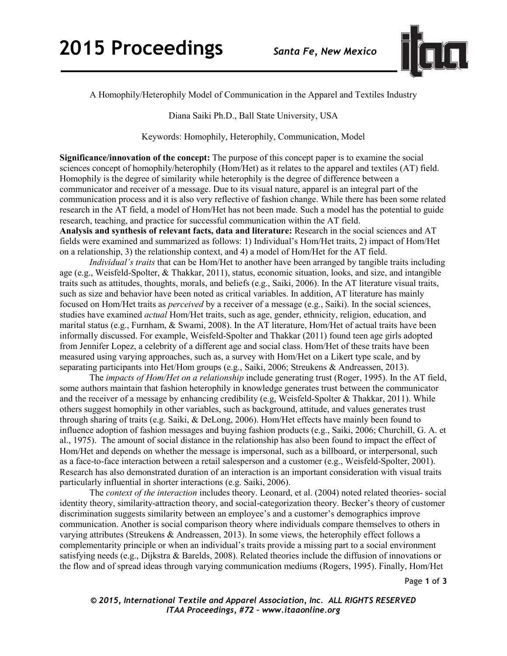

A Homophily/Heterophily Model of Communication in the Apparel and Textiles Industry

Diana Saiki Ph.D., Ball State University, USA

Keywords: Homophily, Heterophily, Communication, Model

**Significance/innovation of the concept:** The purpose of this concept paper is to examine the social sciences concept of homophily/heterophily (Hom/Het) as it relates to the apparel and textiles (AT) field. Homophily is the degree of similarity while heterophily is the degree of difference between a communicator and receiver of a message. Due to its visual nature, apparel is an integral part of the communication process and it is also very reflective of fashion change. While there has been some related research in the AT field, a model of Hom/Het has not been made. Such a model has the potential to guide research, teaching, and practice for successful communication within the AT field. **Analysis and synthesis of relevant facts, data and literature:** Research in the social sciences and AT

fields were examined and summarized as follows: 1) Individual's Hom/Het traits, 2) impact of Hom/Het on a relationship, 3) the relationship context, and 4) a model of Hom/Het for the AT field.

*Individual's traits* that can be Hom/Het to another have been arranged by tangible traits including age (e.g., Weisfeld-Spolter, & Thakkar, 2011), status, economic situation, looks, and size, and intangible traits such as attitudes, thoughts, morals, and beliefs (e.g., Saiki, 2006). In the AT literature visual traits, such as size and behavior have been noted as critical variables. In addition, AT literature has mainly focused on Hom/Het traits as *perceived* by a receiver of a message (e.g., Saiki). In the social sciences, studies have examined *actual* Hom/Het traits, such as age, gender, ethnicity, religion, education, and marital status (e.g., Furnham, & Swami, 2008). In the AT literature, Hom/Het of actual traits have been informally discussed. For example, Weisfeld-Spolter and Thakkar (2011) found teen age girls adopted from Jennifer Lopez, a celebrity of a different age and social class. Hom/Het of these traits have been measured using varying approaches, such as, a survey with Hom/Het on a Likert type scale, and by separating participants into Het/Hom groups (e.g., Saiki, 2006; Streukens & Andreassen, 2013).

The *impacts of Hom/Het on a relationship* include generating trust (Roger, 1995). In the AT field, some authors maintain that fashion heterophily in knowledge generates trust between the communicator and the receiver of a message by enhancing credibility (e.g, Weisfeld-Spolter & Thakkar, 2011). While others suggest homophily in other variables, such as background, attitude, and values generates trust through sharing of traits (e.g. Saiki, & DeLong, 2006). Hom/Het effects have mainly been found to influence adoption of fashion messages and buying fashion products (e.g., Saiki, 2006; Churchill, G. A. et al., 1975). The amount of social distance in the relationship has also been found to impact the effect of Hom/Het and depends on whether the message is impersonal, such as a billboard, or interpersonal, such as a face-to-face interaction between a retail salesperson and a customer (e.g., Weisfeld-Spolter, 2001). Research has also demonstrated duration of an interaction is an important consideration with visual traits particularly influential in shorter interactions (e.g. Saiki, 2006).

The *context of the interaction* includes theory. Leonard, et al. (2004) noted related theories- social identity theory, similarity-attraction theory, and social-categorization theory. Becker's theory of customer discrimination suggests similarity between an employee's and a customer's demographics improve communication. Another is social comparison theory where individuals compare themselves to others in varying attributes (Streukens & Andreassen, 2013). In some views, the heterophily effect follows a complementarity principle or when an individual's traits provide a missing part to a social environment satisfying needs (e.g., Dijkstra & Barelds, 2008). Related theories include the diffusion of innovations or the flow and of spread ideas through varying communication mediums (Rogers, 1995). Finally, Hom/Het

Page **1** of **3** 

*© 2015, International Textile and Apparel Association, Inc. ALL RIGHTS RESERVED ITAA Proceedings, #72 – www.itaaonline.org*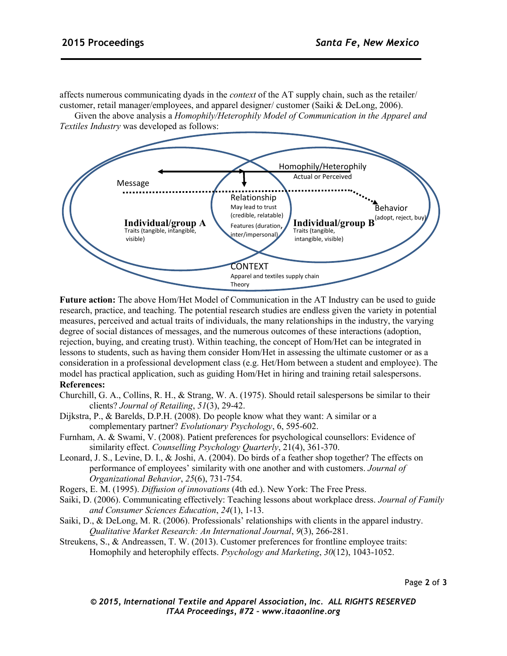affects numerous communicating dyads in the *context* of the AT supply chain, such as the retailer/ customer, retail manager/employees, and apparel designer/ customer (Saiki & DeLong, 2006).

Given the above analysis a *Homophily/Heterophily Model of Communication in the Apparel and Textiles Industry* was developed as follows:



**Future action:** The above Hom/Het Model of Communication in the AT Industry can be used to guide research, practice, and teaching. The potential research studies are endless given the variety in potential measures, perceived and actual traits of individuals, the many relationships in the industry, the varying degree of social distances of messages, and the numerous outcomes of these interactions (adoption, rejection, buying, and creating trust). Within teaching, the concept of Hom/Het can be integrated in lessons to students, such as having them consider Hom/Het in assessing the ultimate customer or as a consideration in a professional development class (e.g. Het/Hom between a student and employee). The model has practical application, such as guiding Hom/Het in hiring and training retail salespersons. **References:** 

- Churchill, G. A., Collins, R. H., & Strang, W. A. (1975). Should retail salespersons be similar to their clients? *Journal of Retailing*, *51*(3), 29-42.
- Dijkstra, P., & Barelds, D.P.H. (2008). Do people know what they want: A similar or a complementary partner? *Evolutionary Psychology*, 6, 595-602.
- Furnham, A. & Swami, V. (2008). Patient preferences for psychological counsellors: Evidence of similarity effect. *Counselling Psychology Quarterly*, 21(4), 361-370.
- Leonard, J. S., Levine, D. I., & Joshi, A. (2004). Do birds of a feather shop together? The effects on performance of employees' similarity with one another and with customers. *Journal of Organizational Behavior*, *25*(6), 731-754.
- Rogers, E. M. (1995). *Diffusion of innovations* (4th ed.). New York: The Free Press.
- Saiki, D. (2006). Communicating effectively: Teaching lessons about workplace dress. *Journal of Family and Consumer Sciences Education*, *24*(1), 1-13.
- Saiki, D., & DeLong, M. R. (2006). Professionals' relationships with clients in the apparel industry. *Qualitative Market Research: An International Journal*, *9*(3), 266-281.
- Streukens, S., & Andreassen, T. W. (2013). Customer preferences for frontline employee traits: Homophily and heterophily effects. *Psychology and Marketing*, *30*(12), 1043-1052.

Page **2** of **3** 

*© 2015, International Textile and Apparel Association, Inc. ALL RIGHTS RESERVED ITAA Proceedings, #72 – www.itaaonline.org*